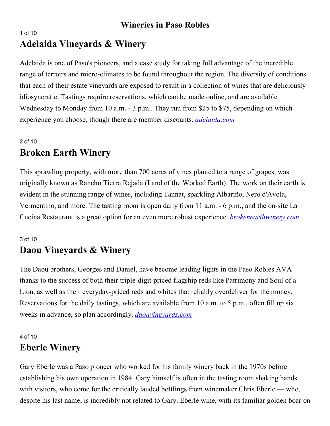### 1 of 10 **Adelaida Vineyards & Winery**

Adelaida is one of Paso's pioneers, and a case study for taking full advantage of the incredible range of terroirs and micro-climates to be found throughout the region. The diversity of conditions that each of their estate vineyards are exposed to result in a collection of wines that are deliciously idiosyncratic. Tastings require reservations, which can be made online, and are available Wednesday to Monday from 10 a.m. - 3 p.m.. They run from \$25 to \$75, depending on which experience you choose, though there are member discounts. *adelaida.com*

## 2 of 10 **Broken Earth Winery**

This sprawling property, with more than 700 acres of vines planted to a range of grapes, was originally known as Rancho Tierra Rejada (Land of the Worked Earth). The work on their earth is evident in the stunning range of wines, including Tannat, sparkling Albariño, Nero d'Avola, Vermentino, and more. The tasting room is open daily from 11 a.m. - 6 p.m., and the on-site La Cucina Restaurant is a great option for an even more robust experience. *brokenearthwinery.com*

#### 3 of 10

# **Daou Vineyards & Winery**

The Daou brothers, Georges and Daniel, have become leading lights in the Paso Robles AVA thanks to the success of both their triple-digit-priced flagship reds like Patrimony and Soul of a Lion, as well as their everyday-priced reds and whites that reliably overdeliver for the money. Reservations for the daily tastings, which are available from 10 a.m. to 5 p.m., often fill up six weeks in advance, so plan accordingly. *daouvineyards.com*

## 4 of 10 **Eberle Winery**

Gary Eberle was a Paso pioneer who worked for his family winery back in the 1970s before establishing his own operation in 1984. Gary himself is often in the tasting room shaking hands with visitors, who come for the critically lauded bottlings from winemaker Chris Eberle — who, despite his last name, is incredibly not related to Gary. Eberle wine, with its familiar golden boar on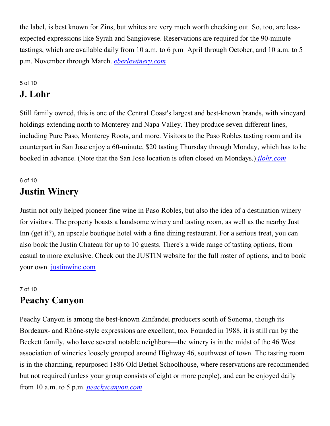the label, is best known for Zins, but whites are very much worth checking out. So, too, are lessexpected expressions like Syrah and Sangiovese. Reservations are required for the 90-minute tastings, which are available daily from 10 a.m. to 6 p.m April through October, and 10 a.m. to 5 p.m. November through March. *eberlewinery.com*

#### 5 of 10 **J. Lohr**

Still family owned, this is one of the Central Coast's largest and best-known brands, with vineyard holdings extending north to Monterey and Napa Valley. They produce seven different lines, including Pure Paso, Monterey Roots, and more. Visitors to the Paso Robles tasting room and its counterpart in San Jose enjoy a 60-minute, \$20 tasting Thursday through Monday, which has to be booked in advance. (Note that the San Jose location is often closed on Mondays.) *jlohr.com*

## 6 of 10 **Justin Winery**

Justin not only helped pioneer fine wine in Paso Robles, but also the idea of a destination winery for visitors. The property boasts a handsome winery and tasting room, as well as the nearby Just Inn (get it?), an upscale boutique hotel with a fine dining restaurant. For a serious treat, you can also book the Justin Chateau for up to 10 guests. There's a wide range of tasting options, from casual to more exclusive. Check out the JUSTIN website for the full roster of options, and to book your own. justinwine.com

## 7 of 10 **Peachy Canyon**

Peachy Canyon is among the best-known Zinfandel producers south of Sonoma, though its Bordeaux- and Rhône-style expressions are excellent, too. Founded in 1988, it is still run by the Beckett family, who have several notable neighbors—the winery is in the midst of the 46 West association of wineries loosely grouped around Highway 46, southwest of town. The tasting room is in the charming, repurposed 1886 Old Bethel Schoolhouse, where reservations are recommended but not required (unless your group consists of eight or more people), and can be enjoyed daily from 10 a.m. to 5 p.m. *peachycanyon.com*